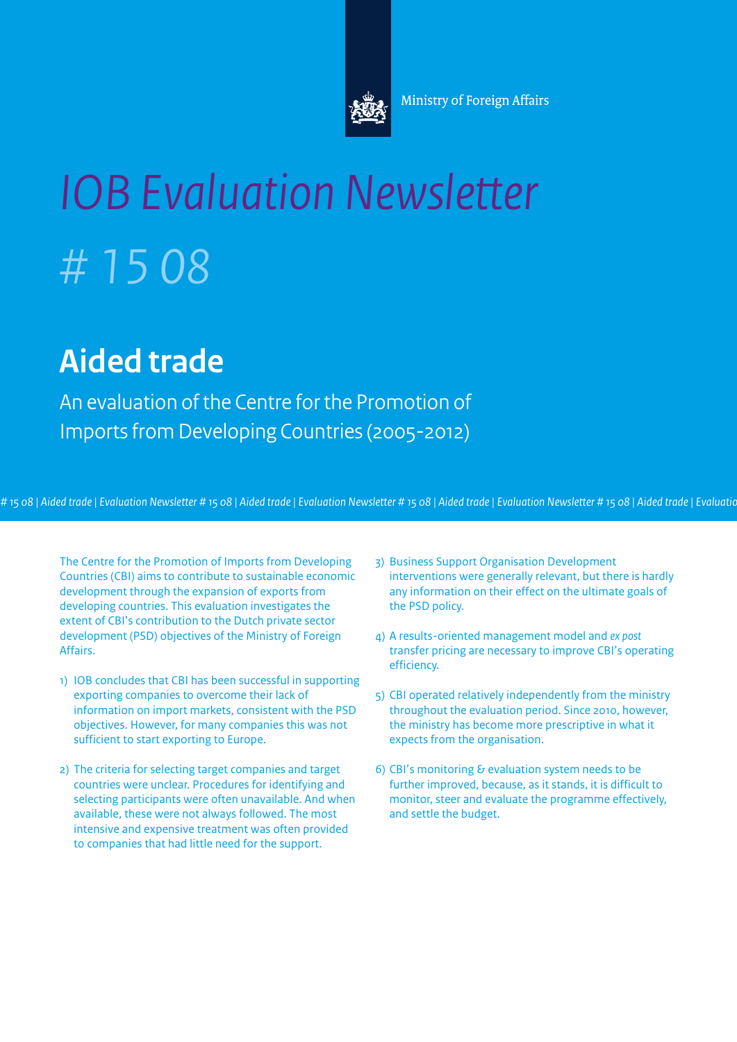

# *IOB Evaluation Newsletter # 15 08*

## **Aided trade**

An evaluation of the Centre for the Promotion of Imports from Developing Countries (2005-2012)

# 15 08 | Aided trade | Evaluation Newsletter # 15 08 | Aided trade | Evaluation Newsletter # 15 08 | Aided trade | Evaluation Newsletter # 15 08 | Aided trade | Evaluatio

The Centre for the Promotion of Imports from Developing Countries (CBI) aims to contribute to sustainable economic development through the expansion of exports from developing countries. This evaluation investigates the extent of CBI's contribution to the Dutch private sector development (PSD) objectives of the Ministry of Foreign Affairs.

- 1) IOB concludes that CBI has been successful in supporting exporting companies to overcome their lack of information on import markets, consistent with the PSD objectives. However, for many companies this was not sufficient to start exporting to Europe.
- 2) The criteria for selecting target companies and target countries were unclear. Procedures for identifying and selecting participants were often unavailable. And when available, these were not always followed. The most intensive and expensive treatment was often provided to companies that had little need for the support.
- 3) Business Support Organisation Development interventions were generally relevant, but there is hardly any information on their effect on the ultimate goals of the PSD policy.
- 4) A results-oriented management model and *ex post* transfer pricing are necessary to improve CBI's operating efficiency.
- 5) CBI operated relatively independently from the ministry throughout the evaluation period. Since 2010, however, the ministry has become more prescriptive in what it expects from the organisation.
- 6) CBI's monitoring  $\epsilon$  evaluation system needs to be further improved, because, as it stands, it is difficult to monitor, steer and evaluate the programme effectively, and settle the budget.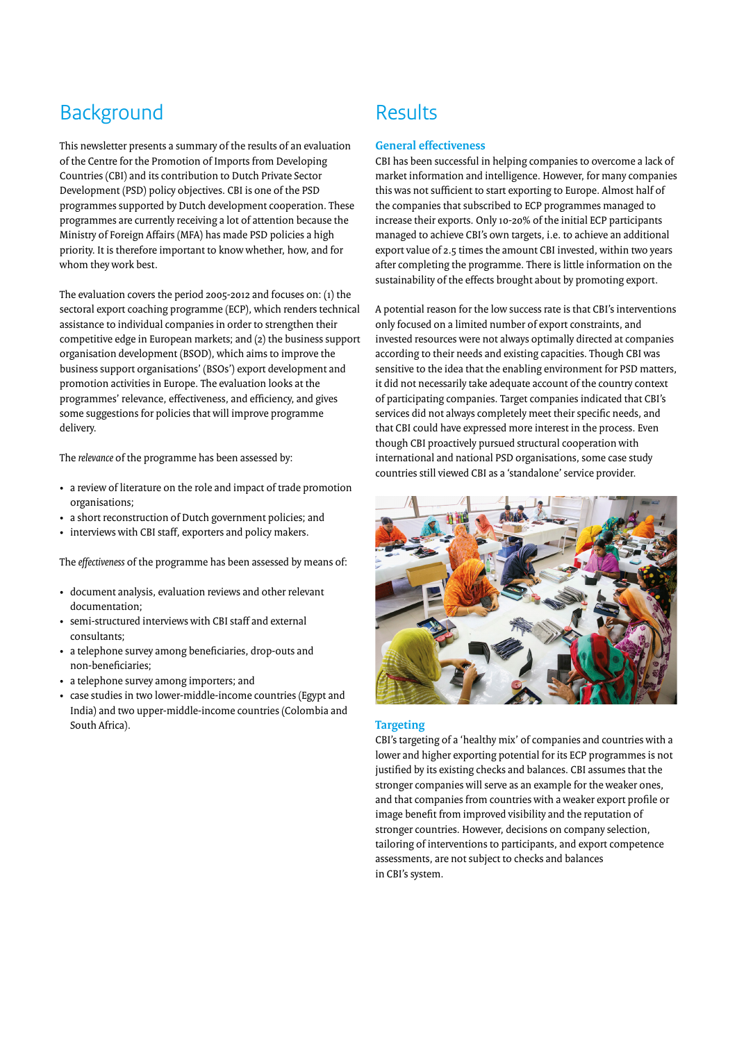## **Background**

This newsletter presents a summary of the results of an evaluation of the Centre for the Promotion of Imports from Developing Countries (CBI) and its contribution to Dutch Private Sector Development (PSD) policy objectives. CBI is one of the PSD programmes supported by Dutch development cooperation. These programmes are currently receiving a lot of attention because the Ministry of Foreign Affairs (MFA) has made PSD policies a high priority. It is therefore important to know whether, how, and for whom they work best.

The evaluation covers the period 2005-2012 and focuses on: (1) the sectoral export coaching programme (ECP), which renders technical assistance to individual companies in order to strengthen their competitive edge in European markets; and (2) the business support organisation development (BSOD), which aims to improve the business support organisations' (BSOs') export development and promotion activities in Europe. The evaluation looks at the programmes' relevance, effectiveness, and efficiency, and gives some suggestions for policies that will improve programme delivery.

The *relevance* of the programme has been assessed by:

- a review of literature on the role and impact of trade promotion organisations;
- a short reconstruction of Dutch government policies; and
- interviews with CBI staff, exporters and policy makers.

The *effectiveness* of the programme has been assessed by means of:

- document analysis, evaluation reviews and other relevant documentation;
- semi-structured interviews with CBI staff and external consultants;
- a telephone survey among beneficiaries, drop-outs and non-beneficiaries;
- a telephone survey among importers; and
- case studies in two lower-middle-income countries (Egypt and India) and two upper-middle-income countries (Colombia and South Africa).

## Results

#### **General effectiveness**

CBI has been successful in helping companies to overcome a lack of market information and intelligence. However, for many companies this was not sufficient to start exporting to Europe. Almost half of the companies that subscribed to ECP programmes managed to increase their exports. Only 10-20% of the initial ECP participants managed to achieve CBI's own targets, i.e. to achieve an additional export value of 2.5 times the amount CBI invested, within two years after completing the programme. There is little information on the sustainability of the effects brought about by promoting export.

A potential reason for the low success rate is that CBI's interventions only focused on a limited number of export constraints, and invested resources were not always optimally directed at companies according to their needs and existing capacities. Though CBI was sensitive to the idea that the enabling environment for PSD matters, it did not necessarily take adequate account of the country context of participating companies. Target companies indicated that CBI's services did not always completely meet their specific needs, and that CBI could have expressed more interest in the process. Even though CBI proactively pursued structural cooperation with international and national PSD organisations, some case study countries still viewed CBI as a 'standalone' service provider.



#### **Targeting**

CBI's targeting of a 'healthy mix' of companies and countries with a lower and higher exporting potential for its ECP programmes is not justified by its existing checks and balances. CBI assumes that the stronger companies will serve as an example for the weaker ones, and that companies from countries with a weaker export profile or image benefit from improved visibility and the reputation of stronger countries. However, decisions on company selection, tailoring of interventions to participants, and export competence assessments, are not subject to checks and balances in CBI's system.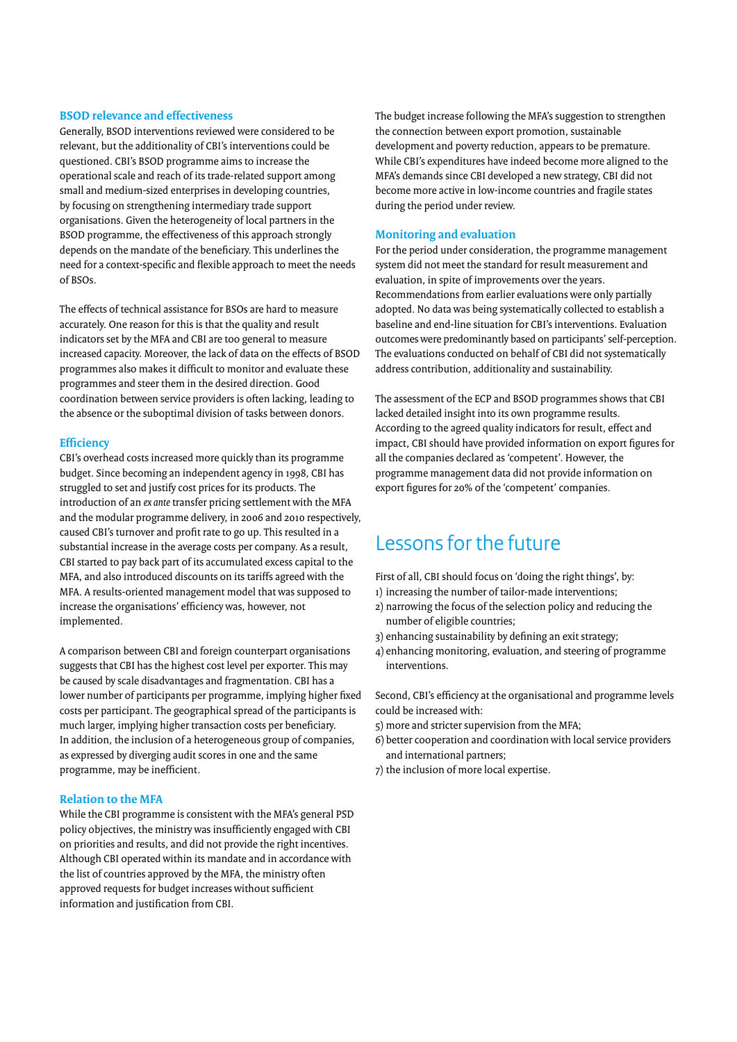#### **BSOD relevance and effectiveness**

Generally, BSOD interventions reviewed were considered to be relevant, but the additionality of CBI's interventions could be questioned. CBI's BSOD programme aims to increase the operational scale and reach of its trade-related support among small and medium-sized enterprises in developing countries, by focusing on strengthening intermediary trade support organisations. Given the heterogeneity of local partners in the BSOD programme, the effectiveness of this approach strongly depends on the mandate of the beneficiary. This underlines the need for a context-specific and flexible approach to meet the needs of BSOs.

The effects of technical assistance for BSOs are hard to measure accurately. One reason for this is that the quality and result indicators set by the MFA and CBI are too general to measure increased capacity. Moreover, the lack of data on the effects of BSOD programmes also makes it difficult to monitor and evaluate these programmes and steer them in the desired direction. Good coordination between service providers is often lacking, leading to the absence or the suboptimal division of tasks between donors.

#### **Efficiency**

CBI's overhead costs increased more quickly than its programme budget. Since becoming an independent agency in 1998, CBI has struggled to set and justify cost prices for its products. The introduction of an *ex ante* transfer pricing settlement with the MFA and the modular programme delivery, in 2006 and 2010 respectively, caused CBI's turnover and profit rate to go up. This resulted in a substantial increase in the average costs per company. As a result, CBI started to pay back part of its accumulated excess capital to the MFA, and also introduced discounts on its tariffs agreed with the MFA. A results-oriented management model that was supposed to increase the organisations' efficiency was, however, not implemented.

A comparison between CBI and foreign counterpart organisations suggests that CBI has the highest cost level per exporter. This may be caused by scale disadvantages and fragmentation. CBI has a lower number of participants per programme, implying higher fixed costs per participant. The geographical spread of the participants is much larger, implying higher transaction costs per beneficiary. In addition, the inclusion of a heterogeneous group of companies, as expressed by diverging audit scores in one and the same programme, may be inefficient.

#### **Relation to the MFA**

While the CBI programme is consistent with the MFA's general PSD policy objectives, the ministry was insufficiently engaged with CBI on priorities and results, and did not provide the right incentives. Although CBI operated within its mandate and in accordance with the list of countries approved by the MFA, the ministry often approved requests for budget increases without sufficient information and justification from CBI.

The budget increase following the MFA's suggestion to strengthen the connection between export promotion, sustainable development and poverty reduction, appears to be premature. While CBI's expenditures have indeed become more aligned to the MFA's demands since CBI developed a new strategy, CBI did not become more active in low-income countries and fragile states during the period under review.

#### **Monitoring and evaluation**

For the period under consideration, the programme management system did not meet the standard for result measurement and evaluation, in spite of improvements over the years. Recommendations from earlier evaluations were only partially adopted. No data was being systematically collected to establish a baseline and end-line situation for CBI's interventions. Evaluation outcomes were predominantly based on participants' self-perception. The evaluations conducted on behalf of CBI did not systematically address contribution, additionality and sustainability.

The assessment of the ECP and BSOD programmes shows that CBI lacked detailed insight into its own programme results. According to the agreed quality indicators for result, effect and impact, CBI should have provided information on export figures for all the companies declared as 'competent'. However, the programme management data did not provide information on export figures for 20% of the 'competent' companies.

### Lessons for the future

First of all, CBI should focus on 'doing the right things', by:

- 1) increasing the number of tailor-made interventions;
- 2) narrowing the focus of the selection policy and reducing the number of eligible countries;
- 3) enhancing sustainability by defining an exit strategy;
- 4) enhancing monitoring, evaluation, and steering of programme interventions.

Second, CBI's efficiency at the organisational and programme levels could be increased with:

- 5) more and stricter supervision from the MFA;
- 6) better cooperation and coordination with local service providers and international partners;
- 7) the inclusion of more local expertise.